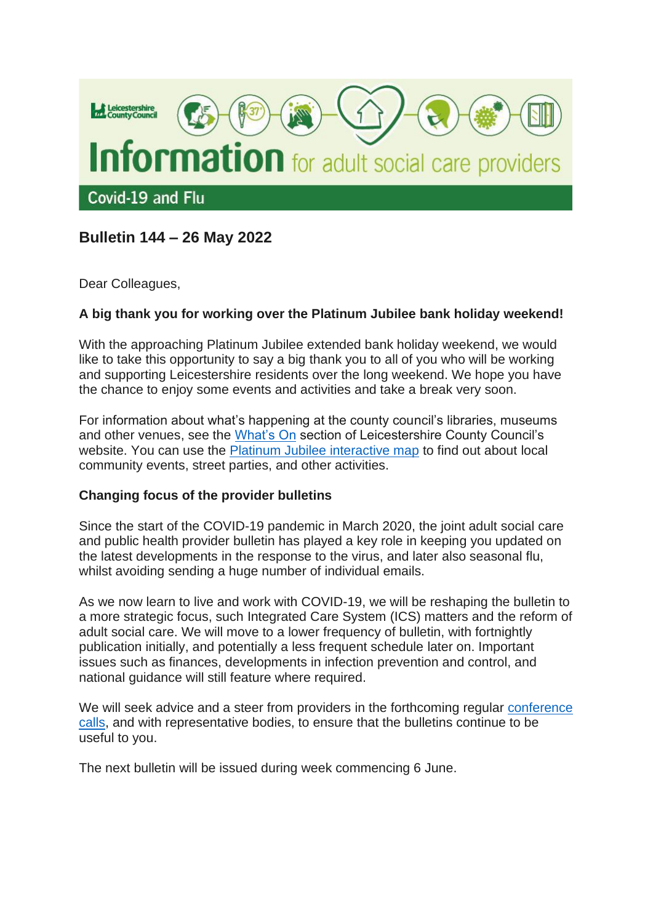

# **Bulletin 144 – 26 May 2022**

Dear Colleagues,

### **A big thank you for working over the Platinum Jubilee bank holiday weekend!**

With the approaching Platinum Jubilee extended bank holiday weekend, we would like to take this opportunity to say a big thank you to all of you who will be working and supporting Leicestershire residents over the long weekend. We hope you have the chance to enjoy some events and activities and take a break very soon.

For information about what's happening at the county council's libraries, museums and other venues, see the [What's On](https://www.leicestershire.gov.uk/whats-on?f%5b0%5d=field_sort_date%3Aall_dates&sort=field_sort_date&order=desc) section of Leicestershire County Council's website. You can use the [Platinum Jubilee interactive map](https://www.leicestershire.gov.uk/about-the-council/how-the-council-works/civic-and-ceremonial/the-lord-lieutenant/her-majesty-the-queens-platinum-jubilee#map) to find out about local community events, street parties, and other activities.

#### **Changing focus of the provider bulletins**

Since the start of the COVID-19 pandemic in March 2020, the joint adult social care and public health provider bulletin has played a key role in keeping you updated on the latest developments in the response to the virus, and later also seasonal flu, whilst avoiding sending a huge number of individual emails.

As we now learn to live and work with COVID-19, we will be reshaping the bulletin to a more strategic focus, such Integrated Care System (ICS) matters and the reform of adult social care. We will move to a lower frequency of bulletin, with fortnightly publication initially, and potentially a less frequent schedule later on. Important issues such as finances, developments in infection prevention and control, and national guidance will still feature where required.

We will seek advice and a steer from providers in the forthcoming regular [conference](https://resources.leicestershire.gov.uk/adult-social-care-and-health/working-with-you-during-coronavirus/provider-teleconferences)  [calls,](https://resources.leicestershire.gov.uk/adult-social-care-and-health/working-with-you-during-coronavirus/provider-teleconferences) and with representative bodies, to ensure that the bulletins continue to be useful to you.

The next bulletin will be issued during week commencing 6 June.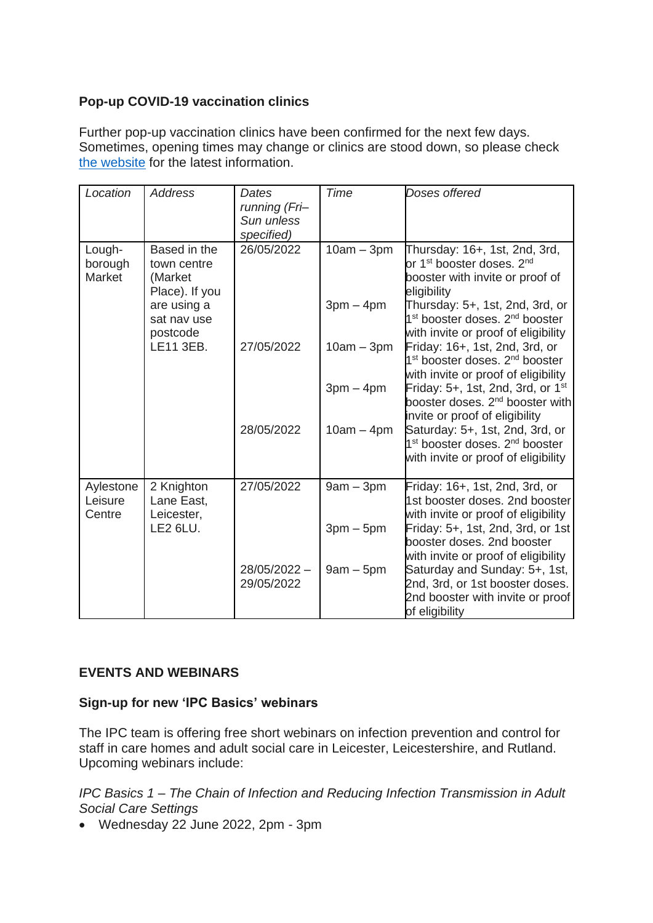### **Pop-up COVID-19 vaccination clinics**

Further pop-up vaccination clinics have been confirmed for the next few days. Sometimes, opening times may change or clinics are stood down, so please check [the website](https://www.leicestercityccg.nhs.uk/my-health/coronavirus-advice/coronavirus-vaccine/) for the latest information.

| Location                       | <b>Address</b>                                                                                                  | Dates<br>running (Fri-<br>Sun unless<br>specified) | <b>Time</b>  | Doses offered                                                                                                                                                      |
|--------------------------------|-----------------------------------------------------------------------------------------------------------------|----------------------------------------------------|--------------|--------------------------------------------------------------------------------------------------------------------------------------------------------------------|
| Lough-<br>borough<br>Market    | Based in the<br>town centre<br>(Market<br>Place). If you<br>are using a<br>sat nav use<br>postcode<br>LE11 3EB. | 26/05/2022                                         | $10am - 3pm$ | Thursday: 16+, 1st, 2nd, 3rd,<br>or 1 <sup>st</sup> booster doses. 2 <sup>nd</sup><br>booster with invite or proof of<br>eligibility                               |
|                                |                                                                                                                 |                                                    | $3pm - 4pm$  | Thursday: 5+, 1st, 2nd, 3rd, or<br>1 <sup>st</sup> booster doses. 2 <sup>nd</sup> booster<br>with invite or proof of eligibility                                   |
|                                |                                                                                                                 | 27/05/2022                                         | $10am - 3pm$ | Friday: 16+, 1st, 2nd, 3rd, or<br>1 <sup>st</sup> booster doses. 2 <sup>nd</sup> booster<br>with invite or proof of eligibility                                    |
|                                |                                                                                                                 |                                                    | $3pm - 4pm$  | Friday: 5+, 1st, 2nd, 3rd, or $1st$<br>booster doses. 2 <sup>nd</sup> booster with                                                                                 |
|                                |                                                                                                                 | 28/05/2022                                         | $10am - 4pm$ | invite or proof of eligibility<br>Saturday: 5+, 1st, 2nd, 3rd, or<br>1 <sup>st</sup> booster doses. 2 <sup>nd</sup> booster<br>with invite or proof of eligibility |
| Aylestone<br>Leisure<br>Centre | 2 Knighton<br>Lane East,<br>Leicester,<br><b>LE2 6LU.</b>                                                       | 27/05/2022                                         | $9am - 3pm$  | Friday: 16+, 1st, 2nd, 3rd, or<br>1st booster doses. 2nd booster<br>with invite or proof of eligibility                                                            |
|                                |                                                                                                                 |                                                    | $3pm-5pm$    | Friday: 5+, 1st, 2nd, 3rd, or 1st<br>booster doses, 2nd booster<br>with invite or proof of eligibility                                                             |
|                                |                                                                                                                 | 28/05/2022 -<br>29/05/2022                         | $9am - 5pm$  | Saturday and Sunday: 5+, 1st,<br>2nd, 3rd, or 1st booster doses.<br>2nd booster with invite or proof<br>of eligibility                                             |

### **EVENTS AND WEBINARS**

### **Sign-up for new 'IPC Basics' webinars**

The IPC team is offering free short webinars on infection prevention and control for staff in care homes and adult social care in Leicester, Leicestershire, and Rutland. Upcoming webinars include:

*IPC Basics 1 – The Chain of Infection and Reducing Infection Transmission in Adult Social Care Settings*

• Wednesday 22 June 2022, 2pm - 3pm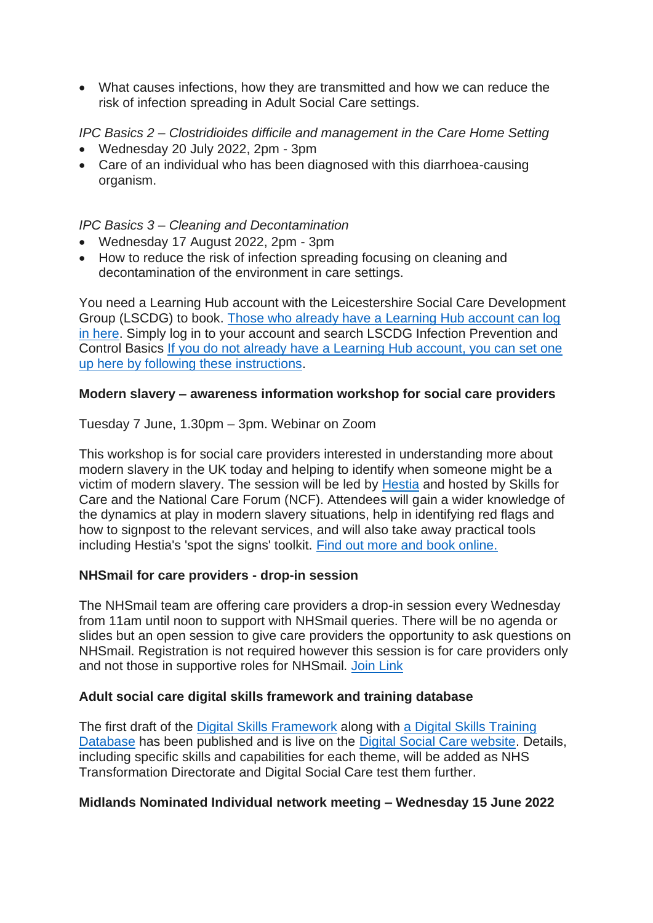• What causes infections, how they are transmitted and how we can reduce the risk of infection spreading in Adult Social Care settings.

## *IPC Basics 2 – Clostridioides difficile and management in the Care Home Setting*

- Wednesday 20 July 2022, 2pm 3pm
- Care of an individual who has been diagnosed with this diarrhoea-causing organism.

### *IPC Basics 3 – Cleaning and Decontamination*

- Wednesday 17 August 2022, 2pm 3pm
- How to reduce the risk of infection spreading focusing on cleaning and decontamination of the environment in care settings.

You need a Learning Hub account with the Leicestershire Social Care Development Group (LSCDG) to book. [Those who already have a Learning Hub account can log](https://leicestershiretotara.learningpool.com/login/index.php)  [in here.](https://leicestershiretotara.learningpool.com/login/index.php) Simply log in to your account and search LSCDG Infection Prevention and Control Basics [If you do not already have a Learning Hub account, you can set one](https://www.lscdg.org/lms-information/)  [up here by following these instructions.](https://www.lscdg.org/lms-information/)

### **Modern slavery – awareness information workshop for social care providers**

Tuesday 7 June, 1.30pm – 3pm. Webinar on Zoom

This workshop is for social care providers interested in understanding more about modern slavery in the UK today and helping to identify when someone might be a victim of modern slavery. The session will be led by [Hestia](https://eur01.safelinks.protection.outlook.com/?url=https%3A%2F%2Fwww.hestia.org%2F&data=05%7C01%7Cjude.emberson%40nottscc.gov.uk%7C853dfc511d3845ae34a308da3ca1db91%7C6e5a37bba9614e4fbaae2798a2245f30%7C0%7C0%7C637888963114982361%7CUnknown%7CTWFpbGZsb3d8eyJWIjoiMC4wLjAwMDAiLCJQIjoiV2luMzIiLCJBTiI6Ik1haWwiLCJXVCI6Mn0%3D%7C3000%7C%7C%7C&sdata=RdLiSO6Tmp%2BJcIJanccgQAJCd3z9kr4a%2BLkKZf1yAQg%3D&reserved=0) and hosted by Skills for Care and the National Care Forum (NCF). Attendees will gain a wider knowledge of the dynamics at play in modern slavery situations, help in identifying red flags and how to signpost to the relevant services, and will also take away practical tools including Hestia's 'spot the signs' toolkit. [Find out more and book online.](https://events.skillsforcare.org.uk/skillsforcare/frontend/reg/thome.csp?pageID=431102&eventID=1378&traceRedir=2)

#### **NHSmail for care providers - drop-in session**

The NHSmail team are offering care providers a drop-in session every Wednesday from 11am until noon to support with NHSmail queries. There will be no agenda or slides but an open session to give care providers the opportunity to ask questions on NHSmail. Registration is not required however this session is for care providers only and not those in supportive roles for NHSmail. [Join Link](https://teams.microsoft.com/dl/launcher/launcher.html?url=%2F_%23%2Fl%2Fmeetup-join%2F19%3Ameeting_MjczNzg5NmYtNzAyOS00NGZkLWE4MTUtNmJkMzBjYWYyYjQ5%40thread.v2%2F0%3Fcontext%3D%257b%2522Tid%2522%253a%252237c354b2-85b0-47f5-b222-07b48d774ee3%2522%252c%2522Oid%2522%253a%2522396a9a0e-650f-4ab2-b7d9-2e326c8d6317%2522%257d%26anon%3Dtrue&type=meetup-join&deeplinkId=fa5d7aa0-b9af-4978-8211-2cfdb7ad1623&directDl=true&msLaunch=true&enableMobilePage=true&suppressPrompt=true)

#### **Adult social care digital skills framework and training database**

The first draft of the [Digital Skills Framework](https://www.digitalsocialcare.co.uk/digital-skills-and-training/digital-skills-framework/) along with [a Digital Skills Training](https://www.digitalsocialcare.co.uk/digital-skills-and-training/digital-skills-training-database/)  [Database](https://www.digitalsocialcare.co.uk/digital-skills-and-training/digital-skills-training-database/) has been published and is live on the [Digital Social Care website.](https://www.digitalsocialcare.co.uk/) Details, including specific skills and capabilities for each theme, will be added as NHS Transformation Directorate and Digital Social Care test them further.

#### **Midlands Nominated Individual network meeting – Wednesday 15 June 2022**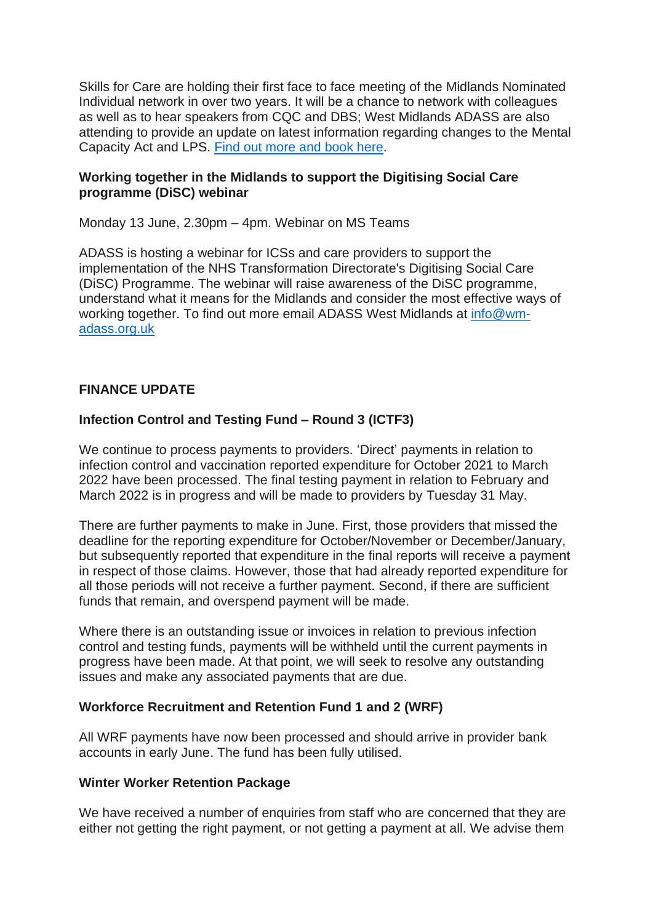Skills for Care are holding their first face to face meeting of the Midlands Nominated Individual network in over two years. It will be a chance to network with colleagues as well as to hear speakers from CQC and DBS; West Midlands ADASS are also attending to provide an update on latest information regarding changes to the Mental Capacity Act and LPS. [Find out more and book here.](https://events.skillsforcare.org.uk/skillsforcare/frontend/reg/thome.csp?pageID=423614&eventID=1356&traceRedir=4)

#### **Working together in the Midlands to support the Digitising Social Care programme (DiSC) webinar**

Monday 13 June, 2.30pm – 4pm. Webinar on MS Teams

ADASS is hosting a webinar for ICSs and care providers to support the implementation of the NHS Transformation Directorate's Digitising Social Care (DiSC) Programme. The webinar will raise awareness of the DiSC programme, understand what it means for the Midlands and consider the most effective ways of working together. To find out more email ADASS West Midlands at [info@wm](mailto:info@wm-adass.org.uk)[adass.org.uk](mailto:info@wm-adass.org.uk)

### **FINANCE UPDATE**

### **Infection Control and Testing Fund – Round 3 (ICTF3)**

We continue to process payments to providers. 'Direct' payments in relation to infection control and vaccination reported expenditure for October 2021 to March 2022 have been processed. The final testing payment in relation to February and March 2022 is in progress and will be made to providers by Tuesday 31 May.

There are further payments to make in June. First, those providers that missed the deadline for the reporting expenditure for October/November or December/January, but subsequently reported that expenditure in the final reports will receive a payment in respect of those claims. However, those that had already reported expenditure for all those periods will not receive a further payment. Second, if there are sufficient funds that remain, and overspend payment will be made.

Where there is an outstanding issue or invoices in relation to previous infection control and testing funds, payments will be withheld until the current payments in progress have been made. At that point, we will seek to resolve any outstanding issues and make any associated payments that are due.

#### **Workforce Recruitment and Retention Fund 1 and 2 (WRF)**

All WRF payments have now been processed and should arrive in provider bank accounts in early June. The fund has been fully utilised.

#### **Winter Worker Retention Package**

We have received a number of enquiries from staff who are concerned that they are either not getting the right payment, or not getting a payment at all. We advise them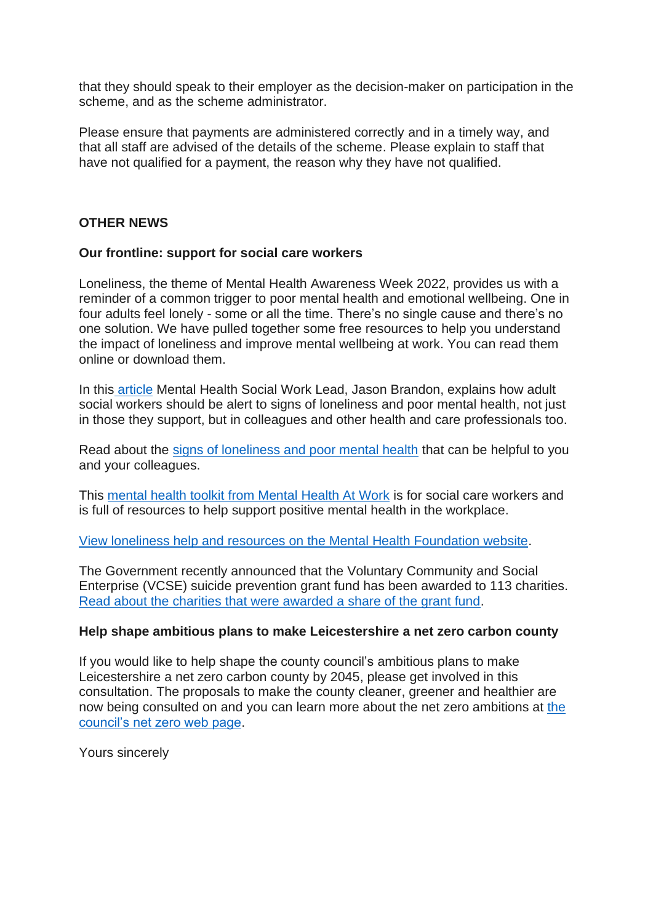that they should speak to their employer as the decision-maker on participation in the scheme, and as the scheme administrator.

Please ensure that payments are administered correctly and in a timely way, and that all staff are advised of the details of the scheme. Please explain to staff that have not qualified for a payment, the reason why they have not qualified.

#### **OTHER NEWS**

#### **Our frontline: support for social care workers**

Loneliness, the theme of Mental Health Awareness Week 2022, provides us with a reminder of a common trigger to poor mental health and emotional wellbeing. One in four adults feel lonely - some or all the time. There's no single cause and there's no one solution. We have pulled together some free resources to help you understand the impact of loneliness and improve mental wellbeing at work. You can read them online or download them.

In this [article](https://socialworkwithadults.blog.gov.uk/2022/05/12/mental-health-awareness-week-a-prompt-for-adult-social-work/?utm_campaign=Adult+Social+Care+Update+13.05.22&utm_content=dhsc-mail.co.uk&utm_medium=email&utm_source=Department+of+Health+and+Social+Care&wp-linkindex=5) Mental Health Social Work Lead, Jason Brandon, explains how adult social workers should be alert to signs of loneliness and poor mental health, not just in those they support, but in colleagues and other health and care professionals too.

Read about the [signs of loneliness and poor mental health](https://socialworkwithadults.blog.gov.uk/2022/05/12/mental-health-awareness-week-a-prompt-for-adult-social-work/?utm_campaign=Adult+Social+Care+Update+13.05.22&utm_content=dhsc-mail.co.uk&utm_medium=email&utm_source=Department+of+Health+and+Social+Care&wp-linkindex=5) that can be helpful to you and your colleagues.

This [mental health toolkit from Mental Health At Work](https://www.mentalhealthatwork.org.uk/toolkit/ourfrontline-socialcare/?utm_campaign=Adult+Social+Care+Update+13.05.22&utm_content=dhsc-mail.co.uk&utm_medium=email&utm_source=Department+of+Health+and+Social+Care&wp-linkindex=7) is for social care workers and is full of resources to help support positive mental health in the workplace.

[View loneliness help and resources on the Mental Health Foundation website.](https://www.mentalhealth.org.uk/campaigns/mental-health-awareness-week?utm_campaign=Adult+Social+Care+Update+13.05.22&utm_content=dhsc-mail.co.uk&utm_medium=email&utm_source=Department+of+Health+and+Social+Care&wp-linkindex=4)

The Government recently announced that the Voluntary Community and Social Enterprise (VCSE) suicide prevention grant fund has been awarded to 113 charities. Read [about the charities that were awarded a share of the grant fund.](https://www.gov.uk/government/news/recipients-of-54-million-suicide-prevent-fund-revealed-in-mental-health-awareness-week?utm_campaign=Adult+Social+Care+Update+13.05.22&utm_content=dhsc-mail.co.uk&utm_medium=email&utm_source=Department+of+Health+and+Social+Care&wp-linkindex=6)

#### **Help shape ambitious plans to make Leicestershire a net zero carbon county**

If you would like to help shape the county council's ambitious plans to make Leicestershire a net zero carbon county by 2045, please get involved in this consultation. The proposals to make the county cleaner, greener and healthier are now being consulted on and you can learn more about the net zero ambitions at [the](https://www.leicestershire.gov.uk/environment-and-planning/conservation-and-sustainability/net-zero-leicestershire)  [council's net zero web page.](https://www.leicestershire.gov.uk/environment-and-planning/conservation-and-sustainability/net-zero-leicestershire)

Yours sincerely